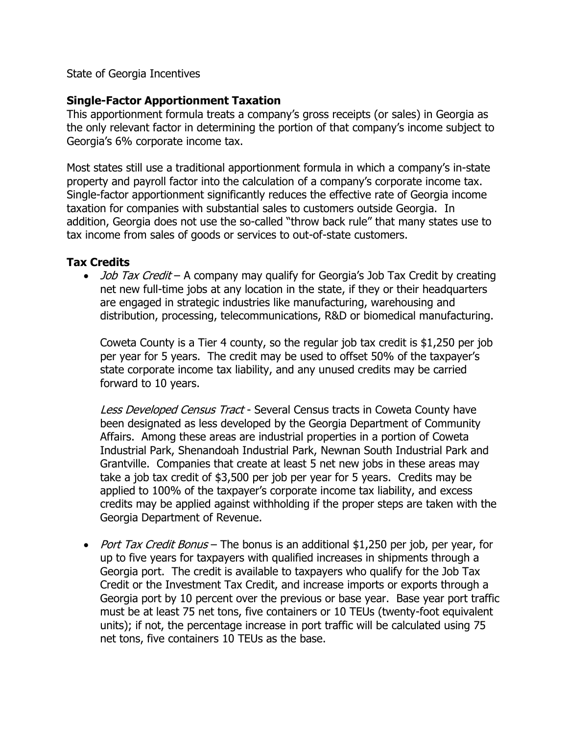State of Georgia Incentives

## **Single-Factor Apportionment Taxation**

This apportionment formula treats a company's gross receipts (or sales) in Georgia as the only relevant factor in determining the portion of that company's income subject to Georgia's 6% corporate income tax.

Most states still use a traditional apportionment formula in which a company's in-state property and payroll factor into the calculation of a company's corporate income tax. Single-factor apportionment significantly reduces the effective rate of Georgia income taxation for companies with substantial sales to customers outside Georgia. In addition, Georgia does not use the so-called "throw back rule" that many states use to tax income from sales of goods or services to out-of-state customers.

## **Tax Credits**

 $\bullet$  *Job Tax Credit* – A company may qualify for Georgia's Job Tax Credit by creating net new full-time jobs at any location in the state, if they or their headquarters are engaged in strategic industries like manufacturing, warehousing and distribution, processing, telecommunications, R&D or biomedical manufacturing.

Coweta County is a Tier 4 county, so the regular job tax credit is \$1,250 per job per year for 5 years. The credit may be used to offset 50% of the taxpayer's state corporate income tax liability, and any unused credits may be carried forward to 10 years.

Less Developed Census Tract - Several Census tracts in Coweta County have been designated as less developed by the Georgia Department of Community Affairs. Among these areas are industrial properties in a portion of Coweta Industrial Park, Shenandoah Industrial Park, Newnan South Industrial Park and Grantville. Companies that create at least 5 net new jobs in these areas may take a job tax credit of \$3,500 per job per year for 5 years. Credits may be applied to 100% of the taxpayer's corporate income tax liability, and excess credits may be applied against withholding if the proper steps are taken with the Georgia Department of Revenue.

• *Port Tax Credit Bonus* – The bonus is an additional \$1,250 per job, per year, for up to five years for taxpayers with qualified increases in shipments through a Georgia port. The credit is available to taxpayers who qualify for the Job Tax Credit or the Investment Tax Credit, and increase imports or exports through a Georgia port by 10 percent over the previous or base year. Base year port traffic must be at least 75 net tons, five containers or 10 TEUs (twenty-foot equivalent units); if not, the percentage increase in port traffic will be calculated using 75 net tons, five containers 10 TEUs as the base.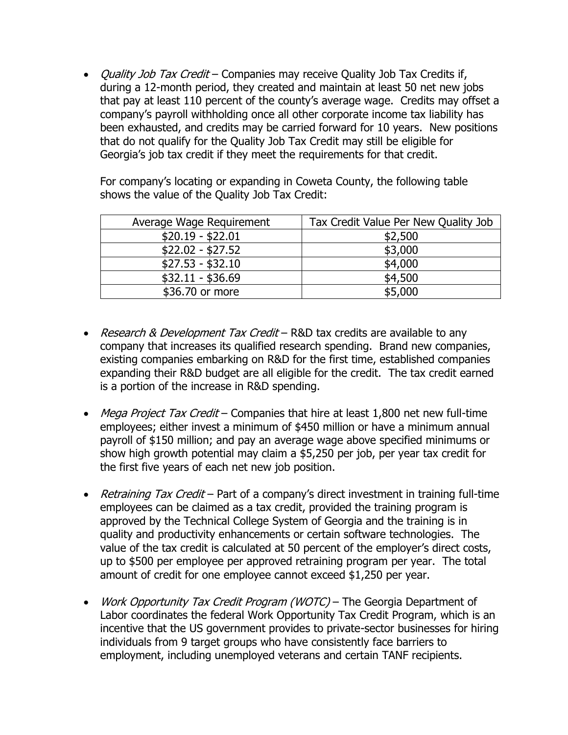• *Quality Job Tax Credit* – Companies may receive Quality Job Tax Credits if, during a 12-month period, they created and maintain at least 50 net new jobs that pay at least 110 percent of the county's average wage. Credits may offset a company's payroll withholding once all other corporate income tax liability has been exhausted, and credits may be carried forward for 10 years. New positions that do not qualify for the Quality Job Tax Credit may still be eligible for Georgia's job tax credit if they meet the requirements for that credit.

For company's locating or expanding in Coweta County, the following table shows the value of the Quality Job Tax Credit:

| Average Wage Requirement | Tax Credit Value Per New Quality Job |
|--------------------------|--------------------------------------|
| $$20.19 - $22.01$        | \$2,500                              |
| $$22.02 - $27.52$        | \$3,000                              |
| $$27.53 - $32.10$        | \$4,000                              |
| $$32.11 - $36.69$        | \$4,500                              |
| \$36.70 or more          | \$5,000                              |

- Research & Development Tax Credit R&D tax credits are available to any company that increases its qualified research spending. Brand new companies, existing companies embarking on R&D for the first time, established companies expanding their R&D budget are all eligible for the credit. The tax credit earned is a portion of the increase in R&D spending.
- Mega Project Tax Credit Companies that hire at least 1,800 net new full-time employees; either invest a minimum of \$450 million or have a minimum annual payroll of \$150 million; and pay an average wage above specified minimums or show high growth potential may claim a \$5,250 per job, per year tax credit for the first five years of each net new job position.
- Retraining Tax Credit Part of a company's direct investment in training full-time employees can be claimed as a tax credit, provided the training program is approved by the Technical College System of Georgia and the training is in quality and productivity enhancements or certain software technologies. The value of the tax credit is calculated at 50 percent of the employer's direct costs, up to \$500 per employee per approved retraining program per year. The total amount of credit for one employee cannot exceed \$1,250 per year.
- Work Opportunity Tax Credit Program (WOTC) The Georgia Department of Labor coordinates the federal Work Opportunity Tax Credit Program, which is an incentive that the US government provides to private-sector businesses for hiring individuals from 9 target groups who have consistently face barriers to employment, including unemployed veterans and certain TANF recipients.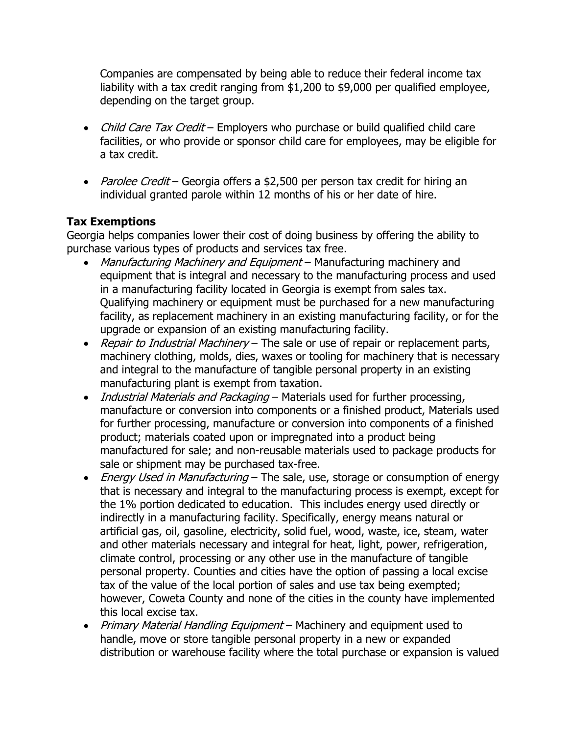Companies are compensated by being able to reduce their federal income tax liability with a tax credit ranging from \$1,200 to \$9,000 per qualified employee, depending on the target group.

- Child Care Tax Credit Employers who purchase or build qualified child care facilities, or who provide or sponsor child care for employees, may be eligible for a tax credit.
- Parolee Credit Georgia offers a \$2,500 per person tax credit for hiring an individual granted parole within 12 months of his or her date of hire.

## **Tax Exemptions**

Georgia helps companies lower their cost of doing business by offering the ability to purchase various types of products and services tax free.

- Manufacturing Machinery and Equipment Manufacturing machinery and equipment that is integral and necessary to the manufacturing process and used in a manufacturing facility located in Georgia is exempt from sales tax. Qualifying machinery or equipment must be purchased for a new manufacturing facility, as replacement machinery in an existing manufacturing facility, or for the upgrade or expansion of an existing manufacturing facility.
- Repair to Industrial Machinery The sale or use of repair or replacement parts, machinery clothing, molds, dies, waxes or tooling for machinery that is necessary and integral to the manufacture of tangible personal property in an existing manufacturing plant is exempt from taxation.
- Industrial Materials and Packaging Materials used for further processing, manufacture or conversion into components or a finished product, Materials used for further processing, manufacture or conversion into components of a finished product; materials coated upon or impregnated into a product being manufactured for sale; and non-reusable materials used to package products for sale or shipment may be purchased tax-free.
- *Energy Used in Manufacturing* The sale, use, storage or consumption of energy that is necessary and integral to the manufacturing process is exempt, except for the 1% portion dedicated to education. This includes energy used directly or indirectly in a manufacturing facility. Specifically, energy means natural or artificial gas, oil, gasoline, electricity, solid fuel, wood, waste, ice, steam, water and other materials necessary and integral for heat, light, power, refrigeration, climate control, processing or any other use in the manufacture of tangible personal property. Counties and cities have the option of passing a local excise tax of the value of the local portion of sales and use tax being exempted; however, Coweta County and none of the cities in the county have implemented this local excise tax.
- Primary Material Handling Equipment Machinery and equipment used to handle, move or store tangible personal property in a new or expanded distribution or warehouse facility where the total purchase or expansion is valued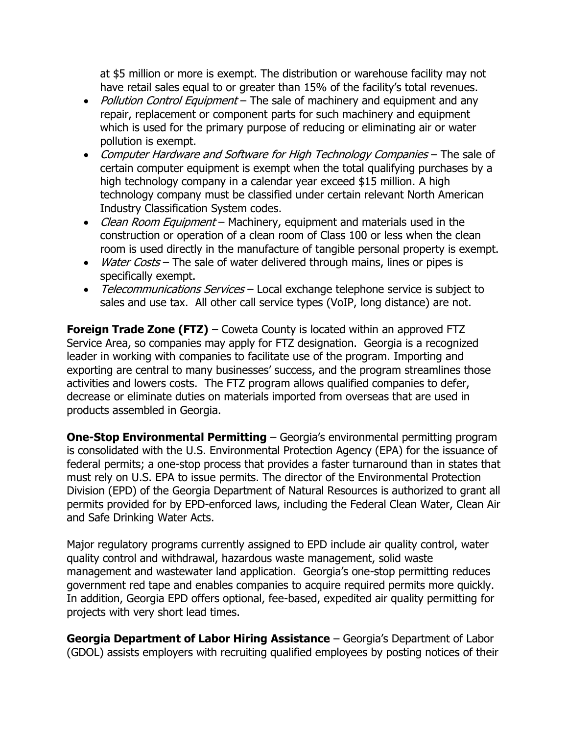at \$5 million or more is exempt. The distribution or warehouse facility may not have retail sales equal to or greater than 15% of the facility's total revenues.

- Pollution Control Equipment The sale of machinery and equipment and any repair, replacement or component parts for such machinery and equipment which is used for the primary purpose of reducing or eliminating air or water pollution is exempt.
- Computer Hardware and Software for High Technology Companies The sale of certain computer equipment is exempt when the total qualifying purchases by a high technology company in a calendar year exceed \$15 million. A high technology company must be classified under certain relevant North American Industry Classification System codes.
- Clean Room Equipment Machinery, equipment and materials used in the construction or operation of a clean room of Class 100 or less when the clean room is used directly in the manufacture of tangible personal property is exempt.
- Water Costs The sale of water delivered through mains, lines or pipes is specifically exempt.
- Telecommunications Services Local exchange telephone service is subject to sales and use tax. All other call service types (VoIP, long distance) are not.

**Foreign Trade Zone (FTZ)** – Coweta County is located within an approved FTZ Service Area, so companies may apply for FTZ designation. Georgia is a recognized leader in working with companies to facilitate use of the program. Importing and exporting are central to many businesses' success, and the program streamlines those activities and lowers costs. The FTZ program allows qualified companies to defer, decrease or eliminate duties on materials imported from overseas that are used in products assembled in Georgia.

**One-Stop Environmental Permitting** – Georgia's environmental permitting program is consolidated with the U.S. Environmental Protection Agency (EPA) for the issuance of federal permits; a one-stop process that provides a faster turnaround than in states that must rely on U.S. EPA to issue permits. The director of the Environmental Protection Division (EPD) of the Georgia Department of Natural Resources is authorized to grant all permits provided for by EPD-enforced laws, including the Federal Clean Water, Clean Air and Safe Drinking Water Acts.

Major regulatory programs currently assigned to EPD include air quality control, water quality control and withdrawal, hazardous waste management, solid waste management and wastewater land application. Georgia's one-stop permitting reduces government red tape and enables companies to acquire required permits more quickly. In addition, Georgia EPD offers optional, fee-based, expedited air quality permitting for projects with very short lead times.

**Georgia Department of Labor Hiring Assistance** – Georgia's Department of Labor (GDOL) assists employers with recruiting qualified employees by posting notices of their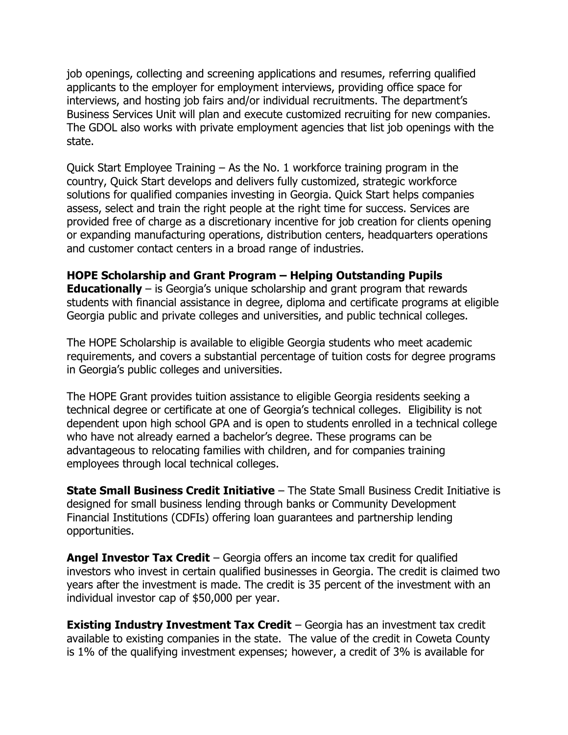job openings, collecting and screening applications and resumes, referring qualified applicants to the employer for employment interviews, providing office space for interviews, and hosting job fairs and/or individual recruitments. The department's Business Services Unit will plan and execute customized recruiting for new companies. The GDOL also works with private employment agencies that list job openings with the state.

Quick Start Employee Training – As the No. 1 workforce training program in the country, Quick Start develops and delivers fully customized, strategic workforce solutions for qualified companies investing in Georgia. Quick Start helps companies assess, select and train the right people at the right time for success. Services are provided free of charge as a discretionary incentive for job creation for clients opening or expanding manufacturing operations, distribution centers, headquarters operations and customer contact centers in a broad range of industries.

## **HOPE Scholarship and Grant Program – Helping Outstanding Pupils**

**Educationally** – is Georgia's unique scholarship and grant program that rewards students with financial assistance in degree, diploma and certificate programs at eligible Georgia public and private colleges and universities, and public technical colleges.

The HOPE Scholarship is available to eligible Georgia students who meet academic requirements, and covers a substantial percentage of tuition costs for degree programs in Georgia's public colleges and universities.

The HOPE Grant provides tuition assistance to eligible Georgia residents seeking a technical degree or certificate at one of Georgia's technical colleges. Eligibility is not dependent upon high school GPA and is open to students enrolled in a technical college who have not already earned a bachelor's degree. These programs can be advantageous to relocating families with children, and for companies training employees through local technical colleges.

**State Small Business Credit Initiative** – The State Small Business Credit Initiative is designed for small business lending through banks or Community Development Financial Institutions (CDFIs) offering loan guarantees and partnership lending opportunities.

**Angel Investor Tax Credit** – Georgia offers an income tax credit for qualified investors who invest in certain qualified businesses in Georgia. The credit is claimed two years after the investment is made. The credit is 35 percent of the investment with an individual investor cap of \$50,000 per year.

**Existing Industry Investment Tax Credit** – Georgia has an investment tax credit available to existing companies in the state. The value of the credit in Coweta County is 1% of the qualifying investment expenses; however, a credit of 3% is available for